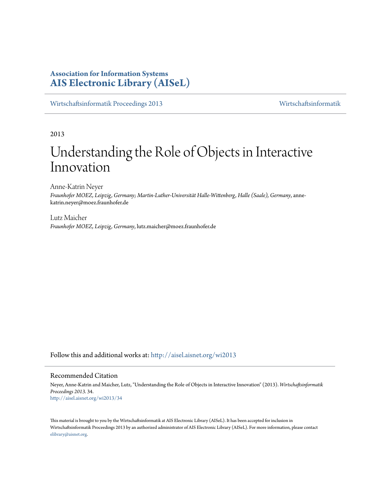# **Association for Information Systems [AIS Electronic Library \(AISeL\)](http://aisel.aisnet.org?utm_source=aisel.aisnet.org%2Fwi2013%2F34&utm_medium=PDF&utm_campaign=PDFCoverPages)**

[Wirtschaftsinformatik Proceedings 2013](http://aisel.aisnet.org/wi2013?utm_source=aisel.aisnet.org%2Fwi2013%2F34&utm_medium=PDF&utm_campaign=PDFCoverPages) [Wirtschaftsinformatik](http://aisel.aisnet.org/wi?utm_source=aisel.aisnet.org%2Fwi2013%2F34&utm_medium=PDF&utm_campaign=PDFCoverPages)

2013

# Understanding the Role of Objects in Interactive Innovation

Anne-Katrin Neyer *Fraunhofer MOEZ, Leipzig, Germany; Martin-Luther-Universität Halle-Wittenberg, Halle (Saale), Germany*, annekatrin.neyer@moez.fraunhofer.de

Lutz Maicher *Fraunhofer MOEZ, Leipzig, Germany*, lutz.maicher@moez.fraunhofer.de

Follow this and additional works at: [http://aisel.aisnet.org/wi2013](http://aisel.aisnet.org/wi2013?utm_source=aisel.aisnet.org%2Fwi2013%2F34&utm_medium=PDF&utm_campaign=PDFCoverPages)

#### Recommended Citation

Neyer, Anne-Katrin and Maicher, Lutz, "Understanding the Role of Objects in Interactive Innovation" (2013). *Wirtschaftsinformatik Proceedings 2013*. 34. [http://aisel.aisnet.org/wi2013/34](http://aisel.aisnet.org/wi2013/34?utm_source=aisel.aisnet.org%2Fwi2013%2F34&utm_medium=PDF&utm_campaign=PDFCoverPages)

This material is brought to you by the Wirtschaftsinformatik at AIS Electronic Library (AISeL). It has been accepted for inclusion in Wirtschaftsinformatik Proceedings 2013 by an authorized administrator of AIS Electronic Library (AISeL). For more information, please contact [elibrary@aisnet.org.](mailto:elibrary@aisnet.org%3E)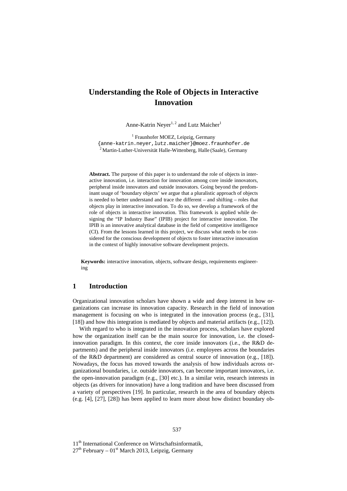# **Understanding the Role of Objects in Interactive Innovation**

Anne-Katrin Neyer<sup>1, 2</sup> and Lutz Maicher<sup>1</sup>

<sup>1</sup> Fraunhofer MOEZ, Leipzig, Germany {anne-katrin.neyer,lutz.maicher}@moez.fraunhofer.de <sup>2</sup> Martin-Luther-Universität Halle-Wittenberg, Halle (Saale), Germany

**Abstract.** The purpose of this paper is to understand the role of objects in interactive innovation, i.e. interaction for innovation among core inside innovators, peripheral inside innovators and outside innovators. Going beyond the predominant usage of 'boundary objects' we argue that a pluralistic approach of objects is needed to better understand and trace the different – and shifting – roles that objects play in interactive innovation. To do so, we develop a framework of the role of objects in interactive innovation. This framework is applied while designing the "IP Industry Base" (IPIB) project for interactive innovation. The IPIB is an innovative analytical database in the field of competitive intelligence (CI). From the lessons learned in this project, we discuss what needs to be considered for the conscious development of objects to foster interactive innovation in the context of highly innovative software development projects.

**Keywords:** interactive innovation, objects, software design, requirements engineering

#### **1 Introduction**

Organizational innovation scholars have shown a wide and deep interest in how organizations can increase its innovation capacity. Research in the field of innovation management is focusing on who is integrated in the innovation process (e.g., [31], [18]) and how this integration is mediated by objects and material artifacts (e.g., [12]).

With regard to who is integrated in the innovation process, scholars have explored how the organization itself can be the main source for innovation, i.e. the closedinnovation paradigm. In this context, the core inside innovators (i.e., the R&D departments) and the peripheral inside innovators (i.e. employees across the boundaries of the R&D department) are considered as central source of innovation (e.g., [18]). Nowadays, the focus has moved towards the analysis of how individuals across organizational boundaries, i.e. outside innovators, can become important innovators, i.e. the open-innovation paradigm (e.g., [30] etc.). In a similar vein, research interests in objects (as drivers for innovation) have a long tradition and have been discussed from a variety of perspectives [19]. In particular, research in the area of boundary objects (e.g. [4], [27], [28]) has been applied to learn more about how distinct boundary ob-

11<sup>th</sup> International Conference on Wirtschaftsinformatik,

 $27<sup>th</sup>$  February – 01<sup>st</sup> March 2013, Leipzig, Germany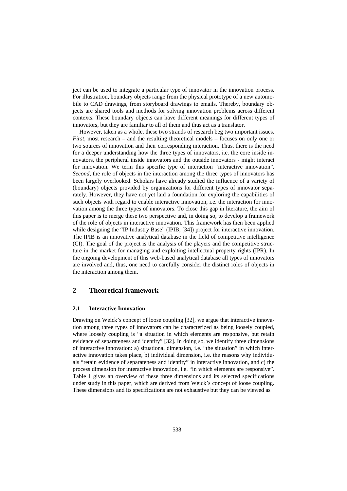ject can be used to integrate a particular type of innovator in the innovation process. For illustration, boundary objects range from the physical prototype of a new automobile to CAD drawings, from storyboard drawings to emails. Thereby, boundary objects are shared tools and methods for solving innovation problems across different contexts. These boundary objects can have different meanings for different types of innovators, but they are familiar to all of them and thus act as a translator.

However, taken as a whole, these two strands of research beg two important issues. *First,* most research – and the resulting theoretical models – focuses on only one or two sources of innovation and their corresponding interaction. Thus, there is the need for a deeper understanding how the three types of innovators, i.e. the core inside innovators, the peripheral inside innovators and the outside innovators - might interact for innovation. We term this specific type of interaction "interactive innovation". *Second,* the role of objects in the interaction among the three types of innovators has been largely overlooked. Scholars have already studied the influence of a variety of (boundary) objects provided by organizations for different types of innovator separately. However, they have not yet laid a foundation for exploring the capabilities of such objects with regard to enable interactive innovation, i.e. the interaction for innovation among the three types of innovators. To close this gap in literature, the aim of this paper is to merge these two perspective and, in doing so, to develop a framework of the role of objects in interactive innovation. This framework has then been applied while designing the "IP Industry Base" (IPIB, [34]) project for interactive innovation. The IPIB is an innovative analytical database in the field of competitive intelligence (CI). The goal of the project is the analysis of the players and the competitive structure in the market for managing and exploiting intellectual property rights (IPR). In the ongoing development of this web-based analytical database all types of innovators are involved and, thus, one need to carefully consider the distinct roles of objects in the interaction among them.

# **2 Theoretical framework**

#### **2.1 Interactive Innovation**

Drawing on Weick's concept of loose coupling [32], we argue that interactive innovation among three types of innovators can be characterized as being loosely coupled, where loosely coupling is "a situation in which elements are responsive, but retain evidence of separateness and identity" [32]. In doing so, we identify three dimensions of interactive innovation: a) situational dimension, i.e. "the situation" in which interactive innovation takes place, b) individual dimension, i.e. the reasons why individuals "retain evidence of separateness and identity" in interactive innovation, and c) the process dimension for interactive innovation, i.e. "in which elements are responsive". Table 1 gives an overview of these three dimensions and its selected specifications under study in this paper, which are derived from Weick's concept of loose coupling. These dimensions and its specifications are not exhaustive but they can be viewed as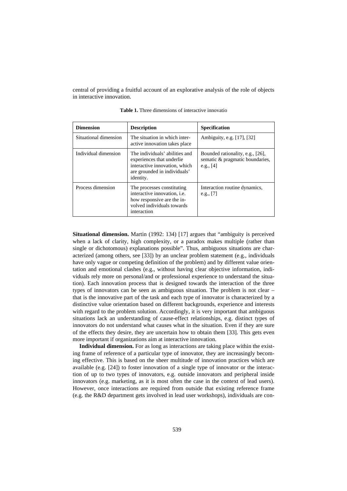central of providing a fruitful account of an explorative analysis of the role of objects in interactive innovation.

| <b>Dimension</b>      | <b>Description</b>                                                                                                                           | <b>Specification</b>                                                               |
|-----------------------|----------------------------------------------------------------------------------------------------------------------------------------------|------------------------------------------------------------------------------------|
| Situational dimension | The situation in which inter-<br>active innovation takes place                                                                               | Ambiguity, e.g. [17], [32]                                                         |
| Individual dimension  | The individuals' abilities and<br>experiences that underlie<br>interactive innovation, which<br>are grounded in individuals'<br>identity.    | Bounded rationality, e.g., [26],<br>sematic & pragmatic boundaries,<br>e.g., $[4]$ |
| Process dimension     | The processes constituting<br>interactive innovation, <i>i.e.</i><br>how responsive are the in-<br>volved individuals towards<br>interaction | Interaction routine dynamics,<br>e.g., $[7]$                                       |

**Table 1.** Three dimensions of interactive innovatio

**Situational dimension.** Martin (1992: 134) [17] argues that "ambiguity is perceived when a lack of clarity, high complexity, or a paradox makes multiple (rather than single or dichotomous) explanations possible". Thus, ambiguous situations are characterized (among others, see [33]) by an unclear problem statement (e.g., individuals have only vague or competing definition of the problem) and by different value orientation and emotional clashes (e.g., without having clear objective information, individuals rely more on personal/and or professional experience to understand the situation). Each innovation process that is designed towards the interaction of the three types of innovators can be seen as ambiguous situation. The problem is not clear – that is the innovative part of the task and each type of innovator is characterized by a distinctive value orientation based on different backgrounds, experience and interests with regard to the problem solution. Accordingly, it is very important that ambiguous situations lack an understanding of cause-effect relationships, e.g. distinct types of innovators do not understand what causes what in the situation. Even if they are sure of the effects they desire, they are uncertain how to obtain them [33]. This gets even more important if organizations aim at interactive innovation.

**Individual dimension.** For as long as interactions are taking place within the existing frame of reference of a particular type of innovator, they are increasingly becoming effective. This is based on the sheer multitude of innovation practices which are available (e.g. [24]) to foster innovation of a single type of innovator or the interaction of up to two types of innovators, e.g. outside innovators and peripheral inside innovators (e.g. marketing, as it is most often the case in the context of lead users). However, once interactions are required from outside that existing reference frame (e.g. the R&D department gets involved in lead user workshops), individuals are con-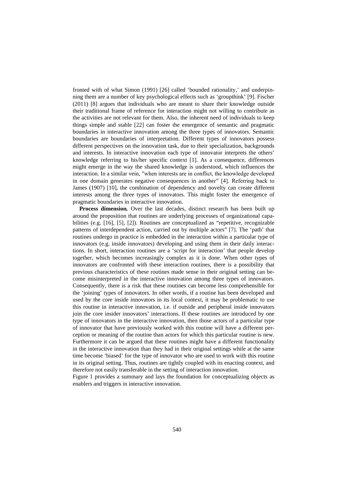fronted with of what Simon (1991) [26] called 'bounded rationality,' and underpinning them are a number of key psychological effects such as 'groupthink' [9]. Fischer (2011) [8] argues that individuals who are meant to share their knowledge outside their traditional frame of reference for interaction might not willing to contribute as the activities are not relevant for them. Also, the inherent need of individuals to keep things simple and stable [22] can foster the emergence of semantic and pragmatic boundaries in interactive innovation among the three types of innovators. Semantic boundaries are boundaries of interpretation. Different types of innovators possess different perspectives on the innovation task, due to their specialization, backgrounds and interests. In interactive innovation each type of innovator interprets the others' knowledge referring to his/her specific context [1]. As a consequence, differences might emerge in the way the shared knowledge is understood, which influences the interaction. In a similar vein, ′′when interests are in conflict, the knowledge developed in one domain generates negative consequences in another′′ [4]. Referring back to James (1907) [10], the combination of dependency and novelty can create different interests among the three types of innovators. This might foster the emergence of pragmatic boundaries in interactive innovation.

**Process dimension***.* Over the last decades, distinct research has been built up around the proposition that routines are underlying processes of organizational capabilities (e.g. [16], [5], [2]). Routines are conceptualized as "repetitive, recognizable patterns of interdependent action, carried out by multiple actors" [7]. The 'path' that routines undergo in practice is embedded in the interaction within a particular type of innovators (e.g. inside innovators) developing and using them in their daily interactions. In short, interaction routines are a 'script for interaction' that people develop together, which becomes increasingly complex as it is done. When other types of innovators are confronted with these interaction routines, there is a possibility that previous characteristics of these routines made sense in their original setting can become misinterpreted in the interactive innovation among three types of innovators. Consequently, there is a risk that these routines can become less comprehensible for the 'joining' types of innovators. In other words, if a routine has been developed and used by the core inside innovators in its local context, it may be problematic to use this routine in interactive innovation, i.e. if outside and peripheral inside innovators join the core insider innovators' interactions. If these routines are introduced by one type of innovators in the interactive innovation, then those actors of a particular type of innovator that have previously worked with this routine will have a different perception or meaning of the routine than actors for which this particular routine is new. Furthermore it can be argued that these routines might have a different functionality in the interactive innovation than they had in their original settings while at the same time become 'biased' for the type of innovator who are used to work with this routine in its original setting. Thus, routines are tightly coupled with its enacting context, and therefore not easily transferable in the setting of interaction innovation.

Figure 1 provides a summary and lays the foundation for conceptualizing objects as enablers and triggers in interactive innovation.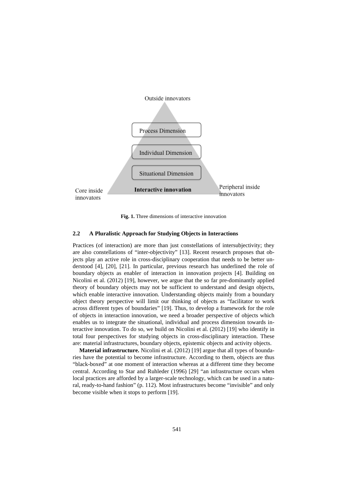

**Fig. 1.** Three dimensions of interactive innovation

#### **2.2 A Pluralistic Approach for Studying Objects in Interactions**

Practices (of interaction) are more than just constellations of intersubjectivity; they are also constellations of "inter-objectivity" [13]. Recent research proposes that objects play an active role in cross-disciplinary cooperation that needs to be better understood [4], [20], [21]. In particular, previous research has underlined the role of boundary objects as enabler of interaction in innovation projects [4]. Building on Nicolini et al. (2012) [19], however, we argue that the so far pre-dominantly applied theory of boundary objects may not be sufficient to understand and design objects, which enable interactive innovation. Understanding objects mainly from a boundary object theory perspective will limit our thinking of objects as "facilitator to work across different types of boundaries" [19]. Thus, to develop a framework for the role of objects in interaction innovation, we need a broader perspective of objects which enables us to integrate the situational, individual and process dimension towards interactive innovation. To do so, we build on Nicolini et al. (2012) [19] who identify in total four perspectives for studying objects in cross-disciplinary interaction. These are: material infrastructures, boundary objects, epistemic objects and activity objects.

**Material infrastructure.** Nicolini et al. (2012) [19] argue that all types of boundaries have the potential to become infrastructure. According to them, objects are thus "black-boxed" at one moment of interaction whereas at a different time they become central. According to Star and Ruhleder (1996) [29] "an infrastructure occurs when local practices are afforded by a larger-scale technology, which can be used in a natural, ready-to-hand fashion" (p. 112). Most infrastructures become "invisible" and only become visible when it stops to perform [19].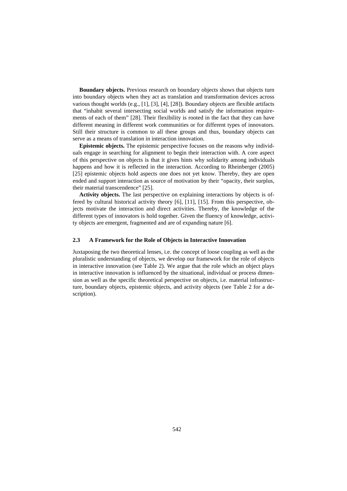**Boundary objects.** Previous research on boundary objects shows that objects turn into boundary objects when they act as translation and transformation devices across various thought worlds (e.g., [1], [3], [4], [28]). Boundary objects are flexible artifacts that "inhabit several intersecting social worlds and satisfy the information requirements of each of them" [28]. Their flexibility is rooted in the fact that they can have different meaning in different work communities or for different types of innovators. Still their structure is common to all these groups and thus, boundary objects can serve as a means of translation in interaction innovation.

**Epistemic objects.** The epistemic perspective focuses on the reasons why individuals engage in searching for alignment to begin their interaction with. A core aspect of this perspective on objects is that it gives hints why solidarity among individuals happens and how it is reflected in the interaction. According to Rheinberger (2005) [25] epistemic objects hold aspects one does not yet know. Thereby, they are open ended and support interaction as source of motivation by their "opacity, their surplus, their material transcendence" [25].

**Activity objects.** The last perspective on explaining interactions by objects is offered by cultural historical activity theory [6], [11], [15]. From this perspective, objects motivate the interaction and direct activities. Thereby, the knowledge of the different types of innovators is hold together. Given the fluency of knowledge, activity objects are emergent, fragmented and are of expanding nature [6].

#### **2.3 A Framework for the Role of Objects in Interactive Innovation**

Juxtaposing the two theoretical lenses, i.e. the concept of loose coupling as well as the pluralistic understanding of objects, we develop our framework for the role of objects in interactive innovation (see Table 2). We argue that the role which an object plays in interactive innovation is influenced by the situational, individual or process dimension as well as the specific theoretical perspective on objects, i.e. material infrastructure, boundary objects, epistemic objects, and activity objects (see Table 2 for a description).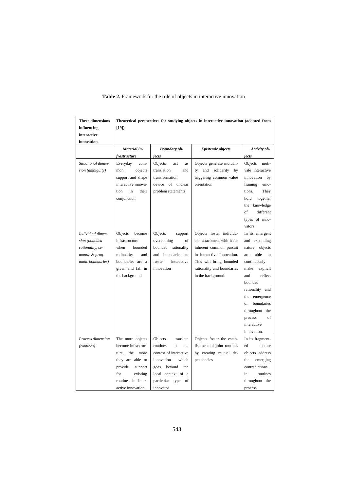| <b>Three dimensions</b> | Theoretical perspectives for studying objects in interactive innovation (adapted from |                          |                               |                   |  |  |
|-------------------------|---------------------------------------------------------------------------------------|--------------------------|-------------------------------|-------------------|--|--|
| influencing             | $[19]$                                                                                |                          |                               |                   |  |  |
| interactive             |                                                                                       |                          |                               |                   |  |  |
| innovation              |                                                                                       |                          |                               |                   |  |  |
|                         | Material in-                                                                          | <b>Boundary ob-</b>      | <b>Epistemic objects</b>      | Activity ob-      |  |  |
|                         | frastructure                                                                          | jects                    |                               | jects             |  |  |
| Situational dimen-      | Everyday<br>com-                                                                      | Objects<br>act<br>as     | Objects generate mutuali-     | Objects<br>moti-  |  |  |
| sion (ambiguity)        | objects<br>mon                                                                        | translation<br>and       | and<br>solidarity<br>ty<br>by | vate interactive  |  |  |
|                         | support and shape                                                                     | transformation           | triggering common value       | innovation<br>by  |  |  |
|                         | interactive innova-                                                                   | device of unclear        | orientation                   | framing<br>emo-   |  |  |
|                         | in<br>tion<br>their                                                                   | problem statements       |                               | tions.<br>They    |  |  |
|                         | conjunction                                                                           |                          |                               | hold<br>together  |  |  |
|                         |                                                                                       |                          |                               | the knowledge     |  |  |
|                         |                                                                                       |                          |                               | of<br>different   |  |  |
|                         |                                                                                       |                          |                               | types of inno-    |  |  |
|                         |                                                                                       |                          |                               | vators            |  |  |
| Individual dimen-       | Objects<br>become                                                                     | Objects<br>support       | Objects foster individu-      | In its emergent   |  |  |
| sion (bounded           | infrastructure                                                                        | overcoming<br>of         | als' attachment with it for   | and expanding     |  |  |
| rationality, se-        | bounded<br>when                                                                       | bounded rationality      | inherent common pursuit       | nature, objects   |  |  |
| mantic & prag-          | rationality<br>and                                                                    | and boundaries to        | in interactive innovation.    | able<br>are<br>to |  |  |
| matic boundaries)       | boundaries are a                                                                      | foster<br>interactive    | This will bring bounded       | continuously      |  |  |
|                         | given and fall in                                                                     | innovation               | rationality and boundaries    | make<br>explicit  |  |  |
|                         | the background                                                                        |                          | in the background.            | and<br>reflect    |  |  |
|                         |                                                                                       |                          |                               | bounded           |  |  |
|                         |                                                                                       |                          |                               | rationality and   |  |  |
|                         |                                                                                       |                          |                               | the emergence     |  |  |
|                         |                                                                                       |                          |                               | of<br>boundaries  |  |  |
|                         |                                                                                       |                          |                               | throughout the    |  |  |
|                         |                                                                                       |                          |                               | of<br>process     |  |  |
|                         |                                                                                       |                          |                               | interactive       |  |  |
|                         |                                                                                       |                          |                               | innovation.       |  |  |
| Process dimension       | The more objects                                                                      | translate<br>Objects     | Objects foster the estab-     | In its fragment-  |  |  |
| (routines)              | become infrastruc-                                                                    | routines<br>in<br>the    | lishment of joint routines    | ed<br>nature      |  |  |
|                         | the<br>ture,<br>more                                                                  | context of interactive   | by creating mutual de-        | objects address   |  |  |
|                         | they are able to                                                                      | innovation<br>which      | pendencies                    | the<br>emerging   |  |  |
|                         | provide<br>support                                                                    | goes<br>beyond<br>the    |                               | contradictions    |  |  |
|                         | for<br>existing                                                                       | local context of a       |                               | routines<br>in    |  |  |
|                         | routines in inter-                                                                    | particular<br>type<br>of |                               | throughout the    |  |  |
|                         | active innovation                                                                     | innovator                |                               | process           |  |  |

## **Table 2.** Framework for the role of objects in interactive innovation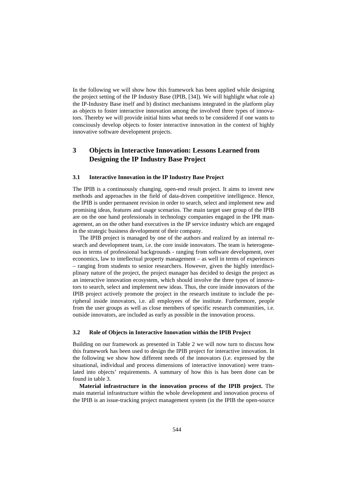In the following we will show how this framework has been applied while designing the project setting of the IP Industry Base (IPIB, [34]). We will highlight what role a) the IP-Industry Base itself and b) distinct mechanisms integrated in the platform play as objects to foster interactive innovation among the involved three types of innovators. Thereby we will provide initial hints what needs to be considered if one wants to consciously develop objects to foster interactive innovation in the context of highly innovative software development projects.

# **3 Objects in Interactive Innovation: Lessons Learned from Designing the IP Industry Base Project**

#### **3.1 Interactive Innovation in the IP Industry Base Project**

The IPIB is a continuously changing, open-end result project. It aims to invent new methods and approaches in the field of data-driven competitive intelligence. Hence, the IPIB is under permanent revision in order to search, select and implement new and promising ideas, features and usage scenarios. The main target user group of the IPIB are on the one hand professionals in technology companies engaged in the IPR management, an on the other hand executives in the IP service industry which are engaged in the strategic business development of their company.

The IPIB project is managed by one of the authors and realized by an internal research and development team, i.e. the core inside innovators. The team is heterogeneous in terms of professional backgrounds - ranging from software development, over economics, law to intellectual property management – as well in terms of experiences – ranging from students to senior researchers. However, given the highly interdisciplinary nature of the project, the project manager has decided to design the project as an interactive innovation ecosystem, which should involve the three types of innovators to search, select and implement new ideas. Thus, the core inside innovators of the IPIB project actively promote the project in the research institute to include the peripheral inside innovators, i.e. all employees of the institute. Furthermore, people from the user groups as well as close members of specific research communities, i.e. outside innovators, are included as early as possible in the innovation process.

#### **3.2 Role of Objects in Interactive Innovation within the IPIB Project**

Building on our framework as presented in Table 2 we will now turn to discuss how this framework has been used to design the IPIB project for interactive innovation. In the following we show how different needs of the innovators (i.e. expressed by the situational, individual and process dimensions of interactive innovation) were translated into objects' requirements. A summary of how this is has been done can be found in table 3.

**Material infrastructure in the innovation process of the IPIB project.** The main material infrastructure within the whole development and innovation process of the IPIB is an issue-tracking project management system (in the IPIB the open-source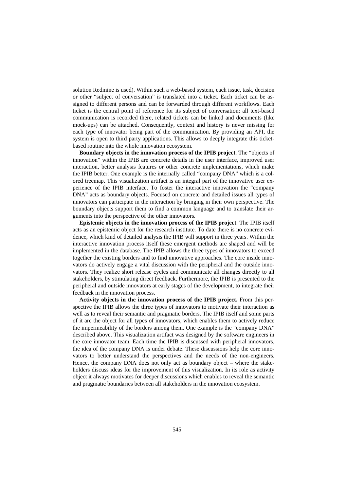solution Redmine is used). Within such a web-based system, each issue, task, decision or other "subject of conversation" is translated into a ticket. Each ticket can be assigned to different persons and can be forwarded through different workflows. Each ticket is the central point of reference for its subject of conversation: all text-based communication is recorded there, related tickets can be linked and documents (like mock-ups) can be attached. Consequently, context and history is never missing for each type of innovator being part of the communication. By providing an API, the system is open to third party applications. This allows to deeply integrate this ticketbased routine into the whole innovation ecosystem.

**Boundary objects in the innovation process of the IPIB project**. The "objects of innovation" within the IPIB are concrete details in the user interface, improved user interaction, better analysis features or other concrete implementations, which make the IPIB better. One example is the internally called "company DNA" which is a colored treemap. This visualization artifact is an integral part of the innovative user experience of the IPIB interface. To foster the interactive innovation the "company DNA" acts as boundary objects. Focused on concrete and detailed issues all types of innovators can participate in the interaction by bringing in their own perspective. The boundary objects support them to find a common language and to translate their arguments into the perspective of the other innovators.

**Epistemic objects in the innovation process of the IPIB project**. The IPIB itself acts as an epistemic object for the research institute. To date there is no concrete evidence, which kind of detailed analysis the IPIB will support in three years. Within the interactive innovation process itself these emergent methods are shaped and will be implemented in the database. The IPIB allows the three types of innovators to exceed together the existing borders and to find innovative approaches. The core inside innovators do actively engage a vital discussion with the peripheral and the outside innovators. They realize short release cycles and communicate all changes directly to all stakeholders, by stimulating direct feedback. Furthermore, the IPIB is presented to the peripheral and outside innovators at early stages of the development, to integrate their feedback in the innovation process.

**Activity objects in the innovation process of the IPIB project.** From this perspective the IPIB allows the three types of innovators to motivate their interaction as well as to reveal their semantic and pragmatic borders. The IPIB itself and some parts of it are the object for all types of innovators, which enables them to actively reduce the impermeability of the borders among them. One example is the "company DNA" described above. This visualization artifact was designed by the software engineers in the core innovator team. Each time the IPIB is discussed with peripheral innovators, the idea of the company DNA is under debate. These discussions help the core innovators to better understand the perspectives and the needs of the non-engineers. Hence, the company DNA does not only act as boundary object – where the stakeholders discuss ideas for the improvement of this visualization. In its role as activity object it always motivates for deeper discussions which enables to reveal the semantic and pragmatic boundaries between all stakeholders in the innovation ecosystem.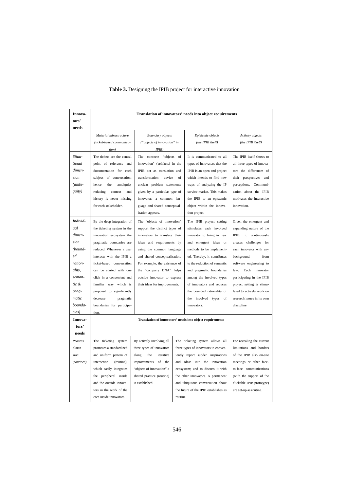| Innova-    | Translation of innovators' needs into object requirements |                                |                                      |                                                           |                            |  |
|------------|-----------------------------------------------------------|--------------------------------|--------------------------------------|-----------------------------------------------------------|----------------------------|--|
| tors'      |                                                           |                                |                                      |                                                           |                            |  |
| needs      |                                                           |                                |                                      |                                                           |                            |  |
|            | Material infrastructure                                   | <b>Boundary</b> objects        |                                      | Epistemic objects                                         | Activity objects           |  |
|            | (ticket-based communica-                                  | ("objects of innovation" in    |                                      | (the IPIB itself)                                         | (the IPIB itself)          |  |
|            | tion)                                                     | IPIB)                          |                                      |                                                           |                            |  |
| Situa-     | The tickets are the central                               | The concrete "objects of       |                                      | It is communicated to all                                 | The IPIB itself shows to   |  |
| tional     | point of reference and                                    | innovation" (artifacts) in the |                                      | types of innovators that the                              | all three types of innova- |  |
| dimen-     | documentation for each                                    | IPIB act as translation and    |                                      | IPIB is an open-end project                               | tors the differences of    |  |
| sion       | subject of conversation;                                  | transformation<br>device       | of                                   | which intends to find new                                 | their perspectives and     |  |
| (ambi-     | hence<br>the<br>ambiguity                                 | unclear problem statements     |                                      | ways of analyzing the IP                                  | perceptions. Communi-      |  |
| guity)     | reducing<br>context<br>and                                | given by a particular type of  |                                      | service market. This makes                                | cation about the IPIB      |  |
|            | history is never missing                                  | innovator; a common lan-       |                                      | the IPIB to an epistemic                                  | motivates the interactive  |  |
|            | for each stakeholder.                                     | guage and shared conceptual-   |                                      | object within the innova-                                 | innovation.                |  |
|            |                                                           | ization appears.               |                                      | tion project.                                             |                            |  |
| Individ-   | By the deep integration of                                | The "objects of innovation"    |                                      | The IPIB project setting                                  | Given the emergent and     |  |
| ual        | the ticketing system in the                               | support the distinct types of  |                                      | stimulates each involved                                  | expanding nature of the    |  |
| dimen-     | innovation ecosystem the                                  | innovators to translate their  |                                      | innovator to bring in new                                 | IPIB, it continuously      |  |
| sion       | pragmatic boundaries are                                  | ideas and requirements by      |                                      | and emergent ideas or                                     | creates challenges for     |  |
| $(bound -$ | reduced. Whenever a user                                  | using the common language      |                                      | methods to be implement-                                  | each innovator with any    |  |
| ed         | interacts with the IPIB a                                 | and shared conceptualization.  |                                      | ed. Thereby, it contributes                               | background,<br>from        |  |
| ration-    | ticket-based conversation                                 |                                | For example, the existence of        |                                                           | software engineering to    |  |
| ality,     | can be started with one                                   | the "company DNA" helps        |                                      | and pragmatic boundaries                                  | law.<br>Each<br>innovator  |  |
| seman-     | click in a convenient and                                 | outside innovator to express   |                                      | among the involved types                                  | participating in the IPIB  |  |
| tic &      | familiar way which is                                     | their ideas for improvements.  |                                      | of innovators and reduces                                 | project setting is stimu-  |  |
| prag-      | proposed to significantly                                 |                                |                                      | the bounded rationality of                                | lated to actively work on  |  |
| matic      | decrease<br>pragmatic                                     |                                |                                      | the<br>involved<br>types of                               | research issues in its own |  |
| bounda-    | boundaries for participa-                                 |                                |                                      | innovators.                                               | discipline.                |  |
| ries)      | tion.                                                     |                                |                                      |                                                           |                            |  |
| Innova-    |                                                           |                                |                                      | Translation of innovators' needs into object requirements |                            |  |
| tors'      |                                                           |                                |                                      |                                                           |                            |  |
| needs      |                                                           |                                |                                      |                                                           |                            |  |
| Process    | The ticketing system                                      | By actively involving all      |                                      | The ticketing system allows all                           | For revealing the current  |  |
| dimen-     | promotes a standardized                                   | three types of innovators      | three types of innovators to conven- |                                                           | limitations and borders    |  |
| sion       | and uniform pattern of                                    | along<br>the<br>iterative      |                                      | iently report sudden inspirations                         | of the IPIB also on-site   |  |
| (routines) | interaction<br>(routine),                                 | improvements of<br>the         |                                      | and ideas into the innovation                             | meetings or other face-    |  |
|            | which easily integrates                                   | "objects of innovation" a      |                                      | ecosystem; and to discuss it with                         | to-face communications     |  |
|            | peripheral inside<br>the                                  | shared practice (routine)      |                                      | the other innovators. A permanent                         | (with the support of the   |  |
|            | and the outside innova-                                   | is established.                |                                      | and ubiquitous conversation about                         | clickable IPIB prototype)  |  |
|            | tors in the work of the                                   |                                |                                      | the future of the IPIB establishes as                     | are set-up as routine.     |  |
|            | core inside innovators                                    |                                | routine.                             |                                                           |                            |  |

# **Table 3.** Designing the IPIB project for interactive innovation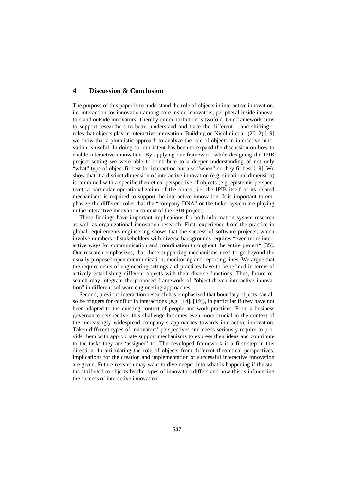## **4 Discussion & Conclusion**

The purpose of this paper is to understand the role of objects in interactive innovation, i.e. interaction for innovation among core inside innovators, peripheral inside innovators and outside innovators. Thereby our contribution is twofold. Our framework aims to support researchers to better understand and trace the different – and shifting – roles that objects play in interactive innovation. Building on Nicolini et al. (2012) [19] we show that a pluralistic approach to analyze the role of objects in interactive innovation is useful. In doing so, our intent has been to expand the discussion on how to enable interactive innovation. By applying our framework while designing the IPIB project setting we were able to contribute to a deeper understanding of not only "what" type of object fit best for interaction but also "when" do they fit best [19]. We show that if a distinct dimension of interactive innovation (e.g. situational dimension) is combined with a specific theoretical perspective of objects (e.g. epistemic perspective), a particular operationalization of the object, i.e. the IPIB itself or its related mechanisms is required to support the interactive innovation. It is important to emphasize the different roles that the "company DNA" or the ticket system are playing in the interactive innovation context of the IPIB project.

These findings have important implications for both information system research as well as organizational innovation research. First, experience from the practice in global requirements engineering shows that the success of software projects, which involve numbers of stakeholders with diverse backgrounds requires "even more interactive ways for communication and coordination throughout the entire project" [35]. Our research emphasizes, that these supporting mechanisms need to go beyond the usually proposed open communication, monitoring and reporting lines. We argue that the requirements of engineering settings and practices have to be refined in terms of actively establishing different objects with their diverse functions. Thus, future research may integrate the proposed framework of "object-driven interactive innovation" in different software engineering approaches.

Second, previous interaction research has emphasized that boundary objects can also be triggers for conflict in interactions (e.g. [14], [19]), in particular if they have not been adapted to the existing context of people and work practices. From a business governance perspective, this challenge becomes even more crucial in the context of the increasingly widespread company's approaches towards interactive innovation. Taken different types of innovators' perspectives and needs seriously require to provide them with appropriate support mechanisms to express their ideas and contribute to the tasks they are 'assigned' to. The developed framework is a first step in this direction. In articulating the role of objects from different theoretical perspectives, implications for the creation and implementation of successful interactive innovation are given. Future research may want to dive deeper into what is happening if the status attributed to objects by the types of innovators differs and how this is influencing the success of interactive innovation.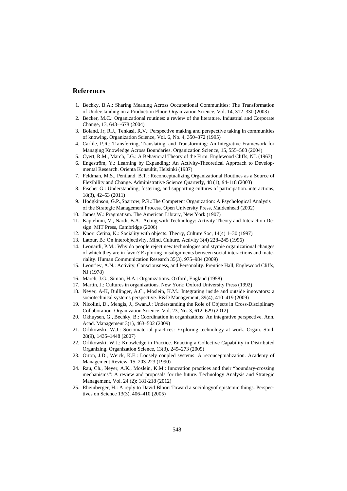## **References**

- 1. Bechky, B.A.: Sharing Meaning Across Occupational Communities: The Transformation of Understanding on a Production Floor. Organization Science, Vol. 14, 312–330 (2003)
- 2. Becker, M.C.: Organizational routines: a review of the literature. Industrial and Corporate Change, 13, 643–-678 (2004)
- 3. Boland, Jr, R.J., Tenkasi, R.V.: Perspective making and perspective taking in communities of knowing. Organization Science, Vol. 6, No. 4, 350–372 (1995)
- 4. Carlile, P.R.: Transferring, Translating, and Transforming: An Integrative Framework for Managing Knowledge Across Boundaries. Organization Science, 15, 555–568 (2004)
- 5. Cyert, R.M., March, J.G.: A Behavioral Theory of the Firm. Englewood Cliffs, NJ. (1963)
- 6. Engeström, Y.: Learning by Expanding: An Activity-Theoretical Approach to Developmental Research. Orienta Konsultit, Helsinki (1987)
- 7. Feldman, M.S., Pentland, B.T.: Reconceptualizing Organizational Routines as a Source of Flexibility and Change. Administrative Science Quarterly, 48 (1), 94-118 (2003)
- 8. Fischer G.: Understanding, fostering, and supporting cultures of participation. interactions, 18(3), 42–53 (2011)
- 9. Hodgkinson, G.P.,Sparrow, P.R.:The Competent Organization: A Psychological Analysis of the Strategic Management Process. Open University Press, Maidenhead (2002)
- 10. James,W.: Pragmatism. The American Library, New York (1907)
- 11. Kaptelinin, V., Nardi, B.A.: Acting with Technology: Activity Theory and Interaction Design. MIT Press, Cambridge (2006)
- 12. Knorr Cetina, K.: Sociality with objects. Theory, Culture Soc, 14(4) 1–30 (1997)
- 13. Latour, B.: On interobjectivity. Mind, Culture, Activity 3(4) 228–245 (1996)
- 14. Leonardi, P.M.: Why do people reject new technologies and stymie organizational changes of which they are in favor? Exploring misalignments between social interactions and materiality. Human Communication Research 35(3), 975–984 (2009)
- 15. Leont'ev, A.N.: Activity, Consciousness, and Personality. Prentice Hall, Englewood Cliffs, NJ (1978)
- 16. March, J.G., Simon, H.A.: Organizations. Oxford, England (1958)
- 17. Martin, J.: Cultures in organizations. New York: Oxford University Press (1992)
- 18. Neyer, A-K, Bullinger, A.C., Möslein, K.M.: Integrating inside and outside innovators: a sociotechnical systems perspective. R&D Management, 39(4), 410–419 (2009)
- 19. Nicolini, D., Mengis, J., Swan,J.: Understanding the Role of Objects in Cross-Disciplinary Collaboration. Organization Science, Vol. 23, No. 3, 612–629 (2012)
- 20. Okhuysen, G., Bechky, B.: Coordination in organizations: An integrative perspective. Ann. Acad. Management 3(1), 463–502 (2009)
- 21. Orlikowski, W.J.: Sociomaterial practices: Exploring technology at work. Organ. Stud. 28(9), 1435–1448 (2007)
- 22. Orlikowski, W.J.: Knowledge in Practice. Enacting a Collective Capability in Distributed Organizing. Organization Science, 13(3), 249–273 (2009)
- 23. Orton, J.D., Weick, K.E.: Loosely coupled systems: A reconceptualization. Academy of Management Review, 15, 203-223 (1990)
- 24. Rau, Ch., Neyer, A.K., Möslein, K.M.: Innovation practices and their "boundary-crossing mechanisms": A review and proposals for the future. Technology Analysis and Strategic Management, Vol. 24 (2): 181-218 (2012)
- 25. Rheinberger, H.: A reply to David Bloor: Toward a sociologyof epistemic things. Perspectives on Science 13(3), 406–410 (2005)